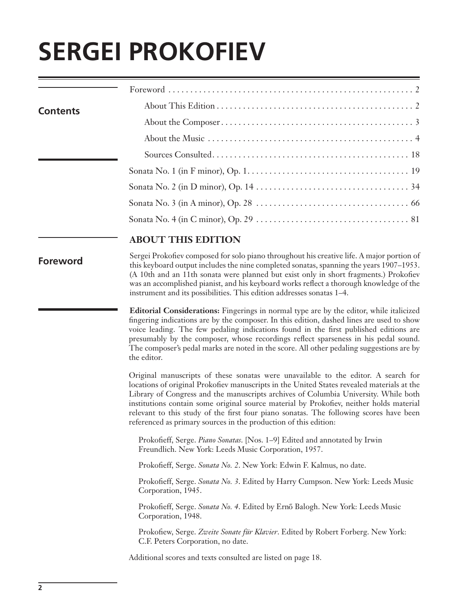# **SERGEI PROKOFIEV**

| <b>Contents</b> |                                                                                                                                                                                                                                                                                                                                                                                                                                                                                                                                  |
|-----------------|----------------------------------------------------------------------------------------------------------------------------------------------------------------------------------------------------------------------------------------------------------------------------------------------------------------------------------------------------------------------------------------------------------------------------------------------------------------------------------------------------------------------------------|
|                 |                                                                                                                                                                                                                                                                                                                                                                                                                                                                                                                                  |
|                 |                                                                                                                                                                                                                                                                                                                                                                                                                                                                                                                                  |
|                 |                                                                                                                                                                                                                                                                                                                                                                                                                                                                                                                                  |
|                 |                                                                                                                                                                                                                                                                                                                                                                                                                                                                                                                                  |
|                 |                                                                                                                                                                                                                                                                                                                                                                                                                                                                                                                                  |
|                 |                                                                                                                                                                                                                                                                                                                                                                                                                                                                                                                                  |
|                 |                                                                                                                                                                                                                                                                                                                                                                                                                                                                                                                                  |
|                 | <b>ABOUT THIS EDITION</b>                                                                                                                                                                                                                                                                                                                                                                                                                                                                                                        |
| <b>Foreword</b> | Sergei Prokofiev composed for solo piano throughout his creative life. A major portion of<br>this keyboard output includes the nine completed sonatas, spanning the years 1907–1953.<br>(A 10th and an 11th sonata were planned but exist only in short fragments.) Prokofiev<br>was an accomplished pianist, and his keyboard works reflect a thorough knowledge of the<br>instrument and its possibilities. This edition addresses sonatas 1-4.                                                                                |
|                 | Editorial Considerations: Fingerings in normal type are by the editor, while italicized<br>fingering indications are by the composer. In this edition, dashed lines are used to show<br>voice leading. The few pedaling indications found in the first published editions are<br>presumably by the composer, whose recordings reflect sparseness in his pedal sound.<br>The composer's pedal marks are noted in the score. All other pedaling suggestions are by<br>the editor.                                                  |
|                 | Original manuscripts of these sonatas were unavailable to the editor. A search for<br>locations of original Prokofiev manuscripts in the United States revealed materials at the<br>Library of Congress and the manuscripts archives of Columbia University. While both<br>institutions contain some original source material by Prokofiev, neither holds material<br>relevant to this study of the first four piano sonatas. The following scores have been<br>referenced as primary sources in the production of this edition: |
|                 | Prokofieff, Serge. Piano Sonatas. [Nos. 1–9] Edited and annotated by Irwin<br>Freundlich. New York: Leeds Music Corporation, 1957.                                                                                                                                                                                                                                                                                                                                                                                               |
|                 | Prokofieff, Serge. Sonata No. 2. New York: Edwin F. Kalmus, no date.                                                                                                                                                                                                                                                                                                                                                                                                                                                             |
|                 | Prokofieff, Serge. Sonata No. 3. Edited by Harry Cumpson. New York: Leeds Music<br>Corporation, 1945.                                                                                                                                                                                                                                                                                                                                                                                                                            |
|                 | Prokofieff, Serge. Sonata No. 4. Edited by Ernő Balogh. New York: Leeds Music<br>Corporation, 1948.                                                                                                                                                                                                                                                                                                                                                                                                                              |
|                 | Prokofiew, Serge. Zweite Sonate für Klavier. Edited by Robert Forberg. New York:<br>C.F. Peters Corporation, no date.                                                                                                                                                                                                                                                                                                                                                                                                            |
|                 | Additional scores and texts consulted are listed on page 18.                                                                                                                                                                                                                                                                                                                                                                                                                                                                     |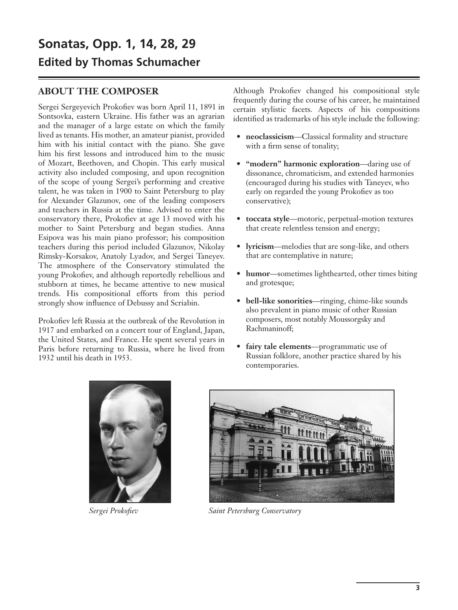## **Edited by Thomas Schumacher Sonatas, Opp. 1, 14, 28, 29**

#### **ABOUT THE COMPOSER**

Sergei Sergeyevich Prokofiev was born April 11, 1891 in Sontsovka, eastern Ukraine. His father was an agrarian and the manager of a large estate on which the family lived as tenants. His mother, an amateur pianist, provided him with his initial contact with the piano. She gave him his first lessons and introduced him to the music of Mozart, Beethoven, and Chopin. This early musical activity also included composing, and upon recognition of the scope of young Sergei's performing and creative talent, he was taken in 1900 to Saint Petersburg to play for Alexander Glazunov, one of the leading composers and teachers in Russia at the time. Advised to enter the conservatory there, Prokofiev at age 13 moved with his mother to Saint Petersburg and began studies. Anna Esipova was his main piano professor; his composition teachers during this period included Glazunov, Nikolay Rimsky-Korsakov, Anatoly Lyadov, and Sergei Taneyev. The atmosphere of the Conservatory stimulated the young Prokofiev, and although reportedly rebellious and stubborn at times, he became attentive to new musical trends. His compositional efforts from this period strongly show influence of Debussy and Scriabin.

Prokofiev left Russia at the outbreak of the Revolution in 1917 and embarked on a concert tour of England, Japan, the United States, and France. He spent several years in Paris before returning to Russia, where he lived from 1932 until his death in 1953.

Although Prokofiev changed his compositional style frequently during the course of his career, he maintained certain stylistic facets. Aspects of his compositions identified as trademarks of his style include the following:

- **• neoclassicism**—Classical formality and structure with a firm sense of tonality;
- **• "modern" harmonic exploration**—daring use of dissonance, chromaticism, and extended harmonies (encouraged during his studies with Taneyev, who early on regarded the young Prokofiev as too conservative);
- **• toccata style**—motoric, perpetual-motion textures that create relentless tension and energy;
- **• lyricism**—melodies that are song-like, and others that are contemplative in nature;
- **• humor**—sometimes lighthearted, other times biting and grotesque;
- **• bell-like sonorities**—ringing, chime-like sounds also prevalent in piano music of other Russian composers, most notably Moussorgsky and Rachmaninoff;
- **• fairy tale elements**—programmatic use of Russian folklore, another practice shared by his contemporaries.





*Sergei Prokofiev Saint Petersburg Conservatory*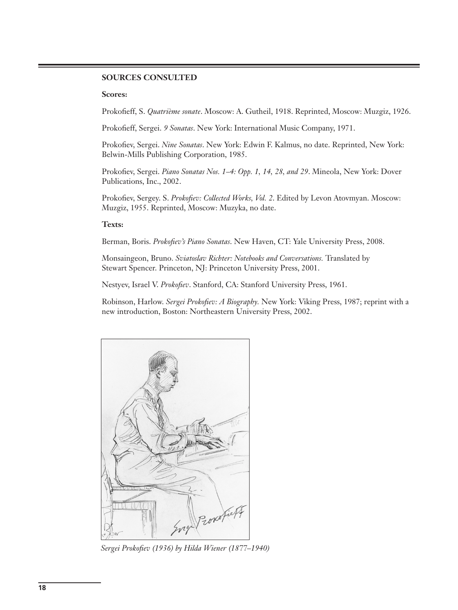#### **SOURCES CONSULTED**

#### **Scores:**

Prokofieff, S. *Quatrième sonate*. Moscow: A. Gutheil, 1918. Reprinted, Moscow: Muzgiz, 1926.

Prokofieff, Sergei. *9 Sonatas*. New York: International Music Company, 1971.

Prokofiev, Sergei. *Nine Sonatas*. New York: Edwin F. Kalmus, no date. Reprinted, New York: Belwin-Mills Publishing Corporation, 1985.

Prokofiev, Sergei. *Piano Sonatas Nos. 1–4: Opp. 1, 14, 28, and 29*. Mineola, New York: Dover Publications, Inc., 2002.

Prokofiev, Sergey. S. *Prokofiev: Collected Works, Vol. 2*. Edited by Levon Atovmyan. Moscow: Muzgiz, 1955. Reprinted, Moscow: Muzyka, no date.

#### **Texts:**

Berman, Boris. *Prokofiev's Piano Sonatas*. New Haven, CT: Yale University Press, 2008.

Monsaingeon, Bruno. *Sviatoslav Richter: Notebooks and Conversations.* Translated by Stewart Spencer. Princeton, NJ: Princeton University Press, 2001.

Nestyev, Israel V. *Prokofiev*. Stanford, CA: Stanford University Press, 1961.

Robinson, Harlow. *Sergei Prokofiev: A Biography.* New York: Viking Press, 1987; reprint with a new introduction, Boston: Northeastern University Press, 2002.



*Sergei Prokofiev (1936) by Hilda Wiener (1877–1940)*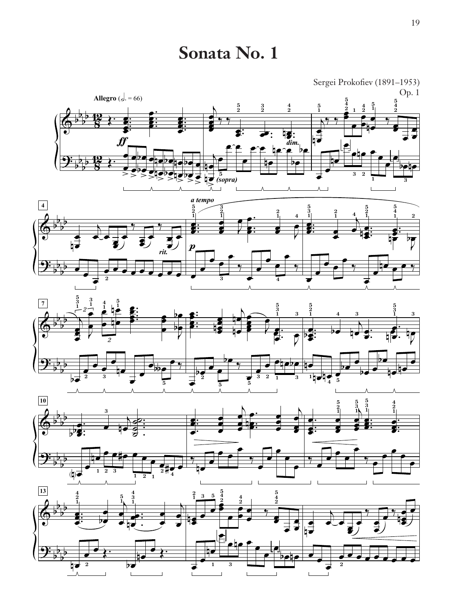# **Sonata No. 1**

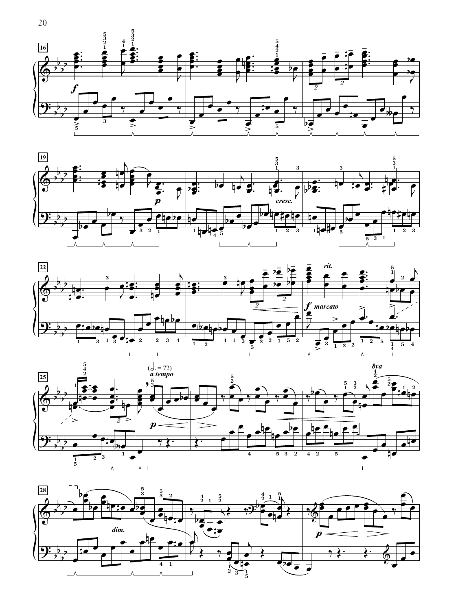